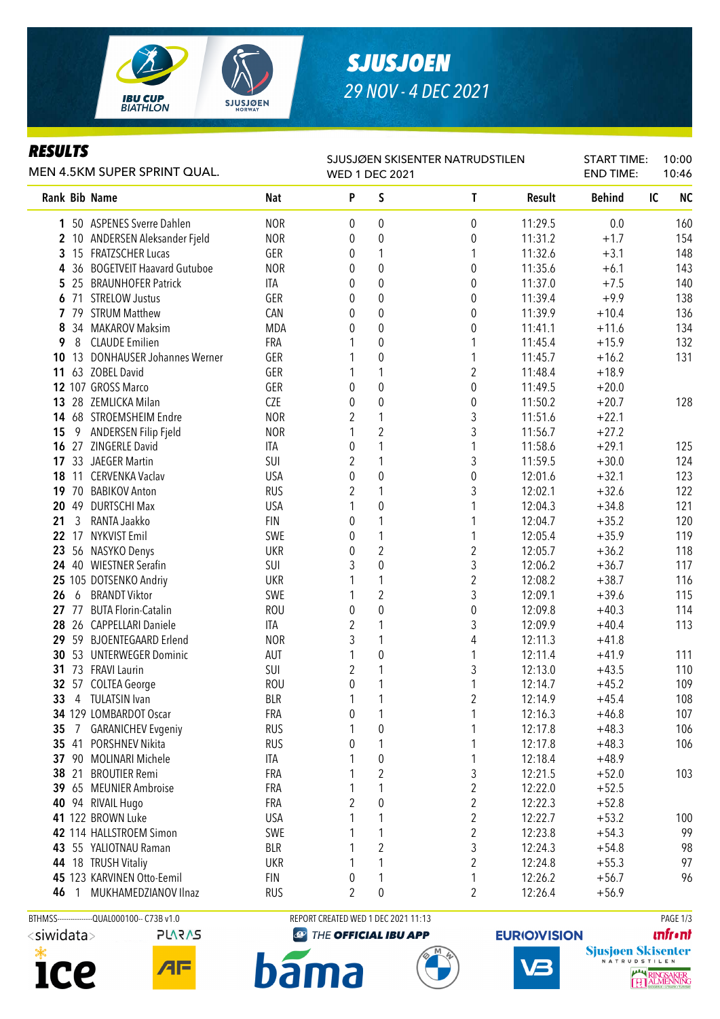

## *SJUSJOEN 29 NOV - 4 DEC 2021*

### *RESULTS*

| <i>KESULIS</i><br>MEN 4.5KM SUPER SPRINT QUAL. |    |                                  |            |                   | SJUSJØEN SKISENTER NATRUDSTILEN<br><b>WED 1 DEC 2021</b> | <b>START TIME:</b><br><b>END TIME:</b> | 10:00<br>10:46 |               |                 |
|------------------------------------------------|----|----------------------------------|------------|-------------------|----------------------------------------------------------|----------------------------------------|----------------|---------------|-----------------|
|                                                |    | Rank Bib Name                    | <b>Nat</b> | P                 | S                                                        | T                                      | Result         | <b>Behind</b> | <b>NC</b><br>IC |
|                                                |    | 1 50 ASPENES Sverre Dahlen       | <b>NOR</b> | 0                 | $\boldsymbol{0}$                                         | 0                                      | 11:29.5        | 0.0           | 160             |
|                                                |    | 2 10 ANDERSEN Aleksander Fjeld   | <b>NOR</b> | 0                 | 0                                                        | 0                                      | 11:31.2        | $+1.7$        | 154             |
|                                                |    | 3 15 FRATZSCHER Lucas            | GER        | 0                 | 1                                                        | 1                                      | 11:32.6        | $+3.1$        | 148             |
|                                                |    | 4 36 BOGETVEIT Haavard Gutuboe   | <b>NOR</b> | 0                 | $\mathbf 0$                                              | 0                                      | 11:35.6        | $+6.1$        | 143             |
|                                                |    | 5 25 BRAUNHOFER Patrick          | ITA        | 0                 | 0                                                        | 0                                      | 11:37.0        | $+7.5$        | 140             |
|                                                |    | 6 71 STRELOW Justus              | GER        | 0                 | 0                                                        | 0                                      | 11:39.4        | $+9.9$        | 138             |
|                                                |    | 7 79 STRUM Matthew               | CAN        | 0                 | $\boldsymbol{0}$                                         | 0                                      | 11:39.9        | $+10.4$       | 136             |
| 8                                              |    | 34 MAKAROV Maksim                | <b>MDA</b> | 0                 | 0                                                        | 0                                      | 11:41.1        | $+11.6$       | 134             |
| 9                                              | 8  | <b>CLAUDE Emilien</b>            | FRA        |                   | 0                                                        | 1                                      | 11:45.4        | $+15.9$       | 132             |
| 10                                             | 13 | <b>DONHAUSER Johannes Werner</b> | GER        |                   | $\boldsymbol{0}$                                         | 1                                      | 11:45.7        | $+16.2$       | 131             |
| 11                                             |    | 63 ZOBEL David                   | GER        | 1                 | 1                                                        | 2                                      | 11:48.4        | $+18.9$       |                 |
|                                                |    | 12 107 GROSS Marco               | GER        | 0                 | $\boldsymbol{0}$                                         | $\boldsymbol{0}$                       | 11:49.5        | $+20.0$       |                 |
|                                                |    | 13 28 ZEMLICKA Milan             | CZE        | 0                 | $\boldsymbol{0}$                                         | $\pmb{0}$                              | 11:50.2        | $+20.7$       | 128             |
|                                                |    | 14 68 STROEMSHEIM Endre          | <b>NOR</b> | 2                 | $\mathbf{1}$                                             | 3                                      | 11:51.6        | $+22.1$       |                 |
| 15                                             | 9  | ANDERSEN Filip Fjeld             | <b>NOR</b> | 1                 | $\overline{2}$                                           | 3                                      | 11:56.7        | $+27.2$       |                 |
|                                                |    | 16 27 ZINGERLE David             | ITA        | 0                 | $\mathbf{1}$                                             | 1                                      | 11:58.6        | $+29.1$       | 125             |
|                                                |    | 17 33 JAEGER Martin              | SUI        | 2                 | 1                                                        | 3                                      | 11:59.5        | $+30.0$       | 124             |
| 18                                             |    | 11 CERVENKA Vaclav               | <b>USA</b> | 0                 | $\boldsymbol{0}$                                         | $\pmb{0}$                              | 12:01.6        | $+32.1$       | 123             |
|                                                |    | 19 70 BABIKOV Anton              | <b>RUS</b> | 2                 | 1                                                        | 3                                      | 12:02.1        | $+32.6$       | 122             |
| 20                                             | 49 | <b>DURTSCHI Max</b>              | <b>USA</b> | 1                 | $\boldsymbol{0}$                                         | 1                                      | 12:04.3        | $+34.8$       | 121             |
| 21                                             | 3  | RANTA Jaakko                     | <b>FIN</b> | 0                 | 1                                                        | 1                                      | 12:04.7        | $+35.2$       | 120             |
| 22                                             | 17 | <b>NYKVIST Emil</b>              | SWE        | 0                 | 1                                                        | 1                                      | 12:05.4        | $+35.9$       | 119             |
| 23                                             |    | 56 NASYKO Denys                  | <b>UKR</b> | 0                 | $\overline{2}$                                           | 2                                      | 12:05.7        | $+36.2$       | 118             |
|                                                |    | 24 40 WIESTNER Serafin           | SUI        | 3                 | $\mathbf{0}$                                             | 3                                      | 12:06.2        | $+36.7$       | 117             |
|                                                |    | 25 105 DOTSENKO Andriy           | <b>UKR</b> | 1                 | $\mathbf{1}$                                             | $\overline{2}$                         | 12:08.2        | $+38.7$       | 116             |
| 26                                             | 6  | <b>BRANDT Viktor</b>             | SWE        | 1                 | $\overline{2}$                                           | 3                                      | 12:09.1        | $+39.6$       | 115             |
|                                                |    | 27 77 BUTA Florin-Catalin        | <b>ROU</b> | 0                 | $\mathbf 0$                                              | $\pmb{0}$                              | 12:09.8        | $+40.3$       | 114             |
|                                                |    | 28 26 CAPPELLARI Daniele         | ITA        | 2                 | 1                                                        | 3                                      | 12:09.9        | $+40.4$       | 113             |
|                                                |    | 29 59 BJOENTEGAARD Erlend        | <b>NOR</b> | 3                 | 1                                                        | 4                                      | 12:11.3        | $+41.8$       |                 |
| 30                                             |    | 53 UNTERWEGER Dominic            | AUT        | 1                 | $\boldsymbol{0}$                                         | 1                                      | 12:11.4        | $+41.9$       | 111             |
| 31                                             |    | 73 FRAVI Laurin                  | SUI        | 2                 | 1                                                        | 3                                      | 12:13.0        | $+43.5$       | 110             |
|                                                |    | 32 57 COLTEA George              | <b>ROU</b> | 0                 | 1                                                        | 1                                      | 12:14.7        | $+45.2$       | 109             |
| 33                                             |    | 4 TULATSIN Ivan                  | <b>BLR</b> | 1                 | 1                                                        | 2                                      | 12:14.9        | $+45.4$       | 108             |
|                                                |    | 34 129 LOMBARDOT Oscar           | FRA        | 0                 | 1                                                        | 1                                      | 12:16.3        | $+46.8$       | 107             |
| 35                                             |    | 7 GARANICHEV Evgeniy             | <b>RUS</b> | 1                 | $\boldsymbol{0}$                                         | 1                                      | 12:17.8        | $+48.3$       | 106             |
|                                                |    | 35 41 PORSHNEV Nikita            | <b>RUS</b> | 0                 | 1                                                        | 1                                      | 12:17.8        | $+48.3$       | 106             |
|                                                |    | 37 90 MOLINARI Michele           | ITA        | 1                 | $\pmb{0}$                                                | 1                                      | 12:18.4        | $+48.9$       |                 |
|                                                |    | 38 21 BROUTIER Remi              | FRA        | 1                 | $\overline{2}$                                           | $\sqrt{3}$                             | 12:21.5        | $+52.0$       | 103             |
|                                                |    | 39 65 MEUNIER Ambroise           | FRA        | 1                 | 1                                                        | $\overline{c}$                         | 12:22.0        | $+52.5$       |                 |
|                                                |    | 40 94 RIVAIL Hugo                | FRA        | $\overline{2}$    | $\boldsymbol{0}$                                         | $\overline{c}$                         | 12:22.3        | $+52.8$       |                 |
|                                                |    | 41 122 BROWN Luke                | <b>USA</b> | 1                 | 1                                                        | $\overline{c}$                         | 12:22.7        | $+53.2$       | 100             |
|                                                |    | 42 114 HALLSTROEM Simon          | SWE        | 1                 | 1                                                        | $\overline{2}$                         | 12:23.8        | $+54.3$       | 99              |
|                                                |    |                                  | <b>BLR</b> |                   | $\overline{2}$                                           | 3                                      | 12:24.3        |               |                 |
|                                                |    | 43 55 YALIOTNAU Raman            |            | 1                 | 1                                                        |                                        |                | $+54.8$       | 98<br>97        |
|                                                |    | 44 18 TRUSH Vitaliy              | <b>UKR</b> | 1                 |                                                          | $\overline{2}$                         | 12:24.8        | $+55.3$       |                 |
|                                                |    | 45 123 KARVINEN Otto-Eemil       | <b>FIN</b> | 0<br><sup>2</sup> | 1                                                        | 1<br>$\mathfrak{p}$                    | 12:26.2        | $+56.7$       | 96              |
|                                                |    | 46 1 MUKHAMEDZIANOV Ilnaz        | <b>RUS</b> |                   | $\Omega$                                                 |                                        | 12:26.4        | $+56.9$       |                 |





BTHMSS----------------QUAL000100-- C73B v1.0 REPORT CREATED WED 1 DEC 2021 11:13 REPORT CREATED WED 1 DEC 2021 11:13

**ma** 

bāı

**@ THE OFFICIAL IBU APP** 



**EURIO)VISION** 

**unfront** 

RINGS<br>ALME **IKER**<br>JNING

Sjusjoen Skisenter

प्ति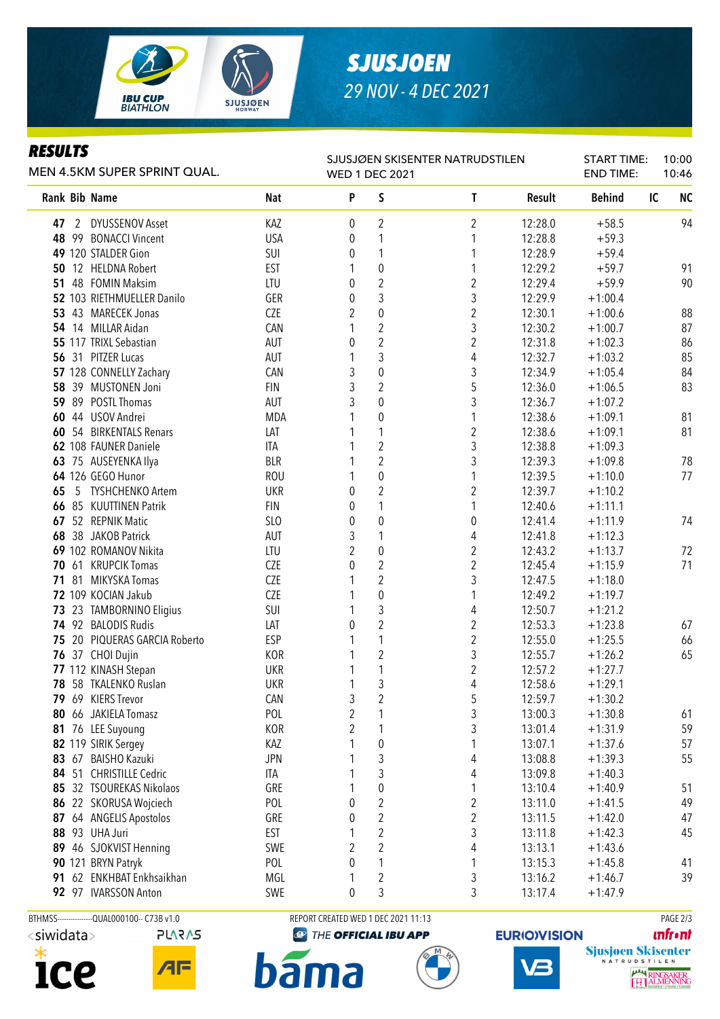**IBU CUP<br>BIATHLON SJUSJØEN** 

# *SJUSJOEN 29 NOV - 4 DEC 2021*

### *RESULTS*

| MEN 4.5KM SUPER SPRINT QUAL. |  |                               |            | SJUSJØEN SKISENTER NATRUDSTILEN<br><b>WED 1 DEC 2021</b> |                  |                  |         |               | <b>START TIME:</b> | 10:00<br>10:46 |  |
|------------------------------|--|-------------------------------|------------|----------------------------------------------------------|------------------|------------------|---------|---------------|--------------------|----------------|--|
|                              |  | Rank Bib Name                 | <b>Nat</b> | P                                                        | S                | T                | Result  | <b>Behind</b> | IC                 | N <sub>C</sub> |  |
|                              |  | 47 2 DYUSSENOV Asset          | KAZ        | 0                                                        | 2                | 2                | 12:28.0 | $+58.5$       |                    | 94             |  |
|                              |  | 48 99 BONACCI Vincent         | <b>USA</b> | 0                                                        | 1                | 1                | 12:28.8 | $+59.3$       |                    |                |  |
|                              |  | 49 120 STALDER Gion           | SUI        | 0                                                        | 1                | 1                | 12:28.9 | $+59.4$       |                    |                |  |
|                              |  | 50 12 HELDNA Robert           | EST        | 1                                                        | $\boldsymbol{0}$ | 1                | 12:29.2 | $+59.7$       |                    | 91             |  |
| 51                           |  | 48 FOMIN Maksim               | LTU        | 0                                                        | $\sqrt{2}$       | $\overline{c}$   | 12:29.4 | $+59.9$       |                    | 90             |  |
|                              |  | 52 103 RIETHMUELLER Danilo    | GER        | 0                                                        | 3                | 3                | 12:29.9 | $+1:00.4$     |                    |                |  |
|                              |  | 53 43 MARECEK Jonas           | <b>CZE</b> | 2                                                        | $\pmb{0}$        | $\overline{c}$   | 12:30.1 | $+1:00.6$     |                    | 88             |  |
|                              |  | 54 14 MILLAR Aidan            | CAN        | 1                                                        | $\sqrt{2}$       | 3                | 12:30.2 | $+1:00.7$     |                    | 87             |  |
|                              |  | 55 117 TRIXL Sebastian        | AUT        | 0                                                        | $\sqrt{2}$       | $\overline{c}$   | 12:31.8 | $+1:02.3$     |                    | 86             |  |
|                              |  | 56 31 PITZER Lucas            | AUT        | 1                                                        | $\mathfrak{Z}$   | 4                | 12:32.7 | $+1:03.2$     |                    | 85             |  |
|                              |  | 57 128 CONNELLY Zachary       | CAN        | 3                                                        | $\pmb{0}$        | 3                | 12:34.9 | $+1:05.4$     |                    | 84             |  |
|                              |  | 58 39 MUSTONEN Joni           | <b>FIN</b> | 3                                                        | $\overline{2}$   | 5                | 12:36.0 | $+1:06.5$     |                    | 83             |  |
|                              |  | 59 89 POSTL Thomas            | AUT        | 3                                                        | $\pmb{0}$        | 3                | 12:36.7 | $+1:07.2$     |                    |                |  |
|                              |  | 60 44 USOV Andrei             | <b>MDA</b> |                                                          | $\boldsymbol{0}$ | 1                | 12:38.6 | $+1:09.1$     |                    | 81             |  |
|                              |  | 60 54 BIRKENTALS Renars       | LAT        |                                                          | $\mathbf{1}$     | $\overline{c}$   | 12:38.6 | $+1:09.1$     |                    | 81             |  |
|                              |  | 62 108 FAUNER Daniele         | <b>ITA</b> |                                                          | $\overline{2}$   | 3                | 12:38.8 | $+1:09.3$     |                    |                |  |
|                              |  | 63 75 AUSEYENKA Ilya          | <b>BLR</b> | 1                                                        | $\overline{2}$   | 3                | 12:39.3 | $+1:09.8$     |                    | 78             |  |
|                              |  | 64 126 GEGO Hunor             | <b>ROU</b> | 1                                                        | $\mathbf{0}$     | 1                | 12:39.5 | $+1:10.0$     |                    | 77             |  |
| 65                           |  | 5 TYSHCHENKO Artem            | <b>UKR</b> | 0                                                        | $\overline{2}$   | $\overline{2}$   | 12:39.7 | $+1:10.2$     |                    |                |  |
|                              |  | 66 85 KUUTTINEN Patrik        | <b>FIN</b> | 0                                                        | $\mathbf{1}$     | 1                | 12:40.6 | $+1:11.1$     |                    |                |  |
|                              |  | 67 52 REPNIK Matic            | SLO        | 0                                                        | $\mathbf 0$      | $\boldsymbol{0}$ | 12:41.4 | $+1:11.9$     |                    | 74             |  |
|                              |  | 68 38 JAKOB Patrick           | AUT        | 3                                                        | 1                | 4                | 12:41.8 | $+1:12.3$     |                    |                |  |
|                              |  | 69 102 ROMANOV Nikita         | LTU        | 2                                                        | $\mathbf 0$      | $\overline{2}$   | 12:43.2 | $+1:13.7$     |                    | 72             |  |
|                              |  | 70 61 KRUPCIK Tomas           | CZE        | 0                                                        | $\overline{2}$   | $\overline{2}$   | 12:45.4 | $+1:15.9$     |                    | 71             |  |
|                              |  | 71 81 MIKYSKA Tomas           | CZE        |                                                          | $\overline{2}$   | 3                | 12:47.5 | $+1:18.0$     |                    |                |  |
|                              |  | 72 109 KOCIAN Jakub           | CZE        | 1                                                        | $\pmb{0}$        | 1                | 12:49.2 | $+1:19.7$     |                    |                |  |
|                              |  | 73 23 TAMBORNINO Eligius      | SUI        | 1                                                        | 3                | 4                | 12:50.7 | $+1:21.2$     |                    |                |  |
|                              |  | 74 92 BALODIS Rudis           | LAT        | 0                                                        | $\overline{2}$   | $\overline{c}$   | 12:53.3 | $+1:23.8$     |                    | 67             |  |
|                              |  | 75 20 PIQUERAS GARCIA Roberto | <b>ESP</b> | 1                                                        | 1                | $\overline{c}$   | 12:55.0 | $+1:25.5$     |                    | 66             |  |
|                              |  | 76 37 CHOI Dujin              | KOR        | 1                                                        | $\sqrt{2}$       | 3                | 12:55.7 | $+1:26.2$     |                    | 65             |  |
|                              |  | 77 112 KINASH Stepan          | <b>UKR</b> | 1                                                        | $\mathbf{1}$     | $\overline{2}$   | 12:57.2 | $+1:27.7$     |                    |                |  |
|                              |  | 78 58 TKALENKO Ruslan         | <b>UKR</b> | 1                                                        | $\mathfrak{Z}$   | 4                | 12:58.6 | $+1:29.1$     |                    |                |  |
|                              |  | 79 69 KIERS Trevor            | CAN        | 3                                                        | $\sqrt{2}$       | 5                | 12:59.7 | $+1:30.2$     |                    |                |  |
|                              |  | 80 66 JAKIELA Tomasz          | POL        | 2                                                        | 1                | 3                | 13:00.3 | $+1:30.8$     |                    | 61             |  |
|                              |  | 81 76 LEE Suyoung             | <b>KOR</b> | 2                                                        | 1                | 3                | 13:01.4 | $+1:31.9$     |                    | 59             |  |
|                              |  | 82 119 SIRIK Sergey           | KAZ        |                                                          | $\pmb{0}$        | 1                | 13:07.1 | $+1:37.6$     |                    | 57             |  |
|                              |  | 83 67 BAISHO Kazuki           | <b>JPN</b> |                                                          | $\mathfrak{Z}$   | 4                | 13:08.8 | $+1:39.3$     |                    | 55             |  |
|                              |  | 84 51 CHRISTILLE Cedric       | ITA        | 1                                                        | 3                | 4                | 13:09.8 | $+1:40.3$     |                    |                |  |
|                              |  | 85 32 TSOUREKAS Nikolaos      | GRE        | 1                                                        | $\pmb{0}$        | 1                | 13:10.4 | $+1:40.9$     |                    | 51             |  |
|                              |  | 86 22 SKORUSA Wojciech        | POL        | 0                                                        | $\overline{2}$   | $\overline{c}$   | 13:11.0 | $+1:41.5$     |                    | 49             |  |
| 87                           |  | 64 ANGELIS Apostolos          | GRE        | 0                                                        | $\overline{2}$   | $\overline{c}$   | 13:11.5 | $+1:42.0$     |                    | 47             |  |
|                              |  | <b>88 93 UHA Juri</b>         | <b>EST</b> | 1                                                        | $\overline{2}$   | 3                | 13:11.8 | $+1:42.3$     |                    | 45             |  |
|                              |  | 89 46 SJOKVIST Henning        | SWE        | 2                                                        | $\overline{2}$   | 4                | 13:13.1 | $+1:43.6$     |                    |                |  |
|                              |  | 90 121 BRYN Patryk            | POL        | 0                                                        | 1                | 1                | 13:15.3 | $+1:45.8$     |                    | 41             |  |
|                              |  | 91 62 ENKHBAT Enkhsaikhan     | MGL        | 1                                                        | 2                | 3                | 13:16.2 | $+1:46.7$     |                    | 39             |  |
|                              |  | 92 97 IVARSSON Anton          | SWE        | 0                                                        | 3                | 3                | 13:17.4 | $+1:47.9$     |                    |                |  |





BTHMSS---------------QUAL000100-- C73B v1.0 REPORT CREATED WED 1 DEC 2021 11:13 REPORT CREATED WED 1 DEC 2021 11:13

THE OFFICIAL IBU APP





**unfront** 



**bama**